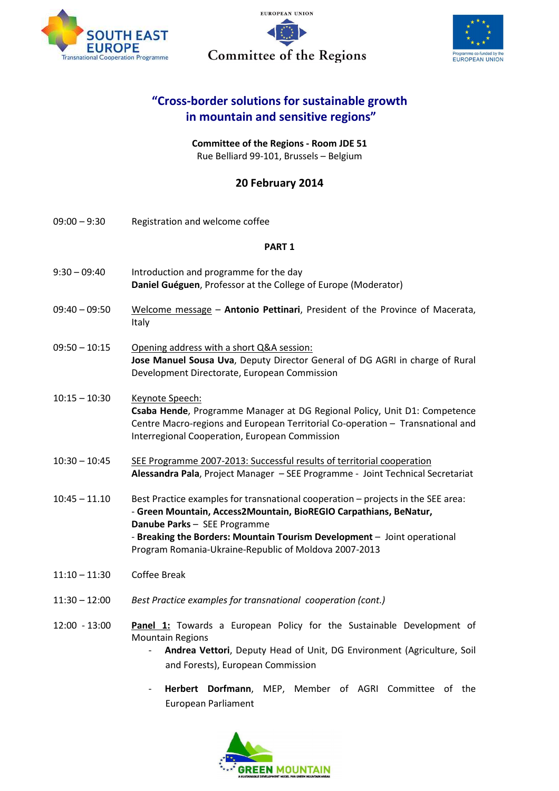





# **"Cross-border solutions for sustainable growth in mountain and sensitive regions"**

**Committee of the Regions - Room JDE 51**  Rue Belliard 99-101, Brussels – Belgium

## **20 February 2014**

09:00 – 9:30 Registration and welcome coffee

### **PART 1**

- 9:30 09:40 Introduction and programme for the day **Daniel Guéguen**, Professor at the College of Europe (Moderator)
- 09:40 09:50 Welcome message **Antonio Pettinari**, President of the Province of Macerata, Italy
- 09:50 10:15 Opening address with a short Q&A session: **Jose Manuel Sousa Uva**, Deputy Director General of DG AGRI in charge of Rural Development Directorate, European Commission

### 10:15 – 10:30 Keynote Speech: **Csaba Hende**, Programme Manager at DG Regional Policy, Unit D1: Competence Centre Macro-regions and European Territorial Co-operation – Transnational and Interregional Cooperation, European Commission

10:30 – 10:45 SEE Programme 2007-2013: Successful results of territorial cooperation **Alessandra Pala**, Project Manager – SEE Programme - Joint Technical Secretariat

10:45 – 11.10 Best Practice examples for transnational cooperation – projects in the SEE area: - **Green Mountain, Access2Mountain, BioREGIO Carpathians, BeNatur, Danube Parks** – SEE Programme - **Breaking the Borders: Mountain Tourism Development** – Joint operational Program Romania-Ukraine-Republic of Moldova 2007-2013

- 11:10 11:30 Coffee Break
- 11:30 12:00 *Best Practice examples for transnational cooperation (cont.)*
- 12:00 13:00 **Panel 1:** Towards a European Policy for the Sustainable Development of Mountain Regions
	- **Andrea Vettori**, Deputy Head of Unit, DG Environment (Agriculture, Soil and Forests), European Commission
	- **Herbert Dorfmann**, MEP, Member of AGRI Committee of the European Parliament